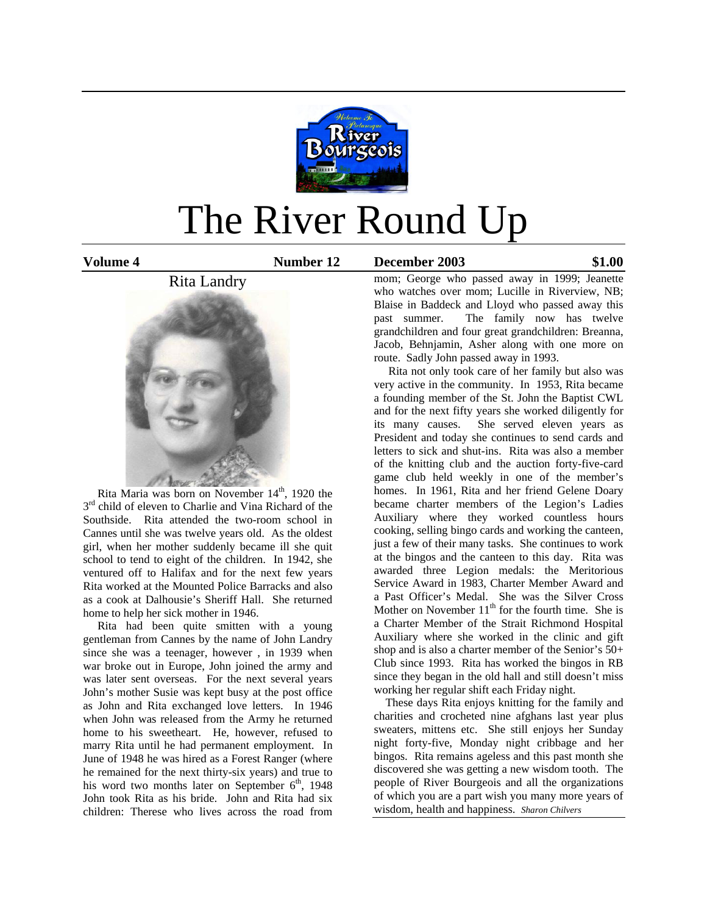

# The River Round Up

**Volume 4 Number 12 December 2003 \$1.00**

# Rita Landry



Rita Maria was born on November  $14<sup>th</sup>$ , 1920 the  $3<sup>rd</sup>$  child of eleven to Charlie and Vina Richard of the Southside. Rita attended the two-room school in Cannes until she was twelve years old. As the oldest girl, when her mother suddenly became ill she quit school to tend to eight of the children. In 1942, she ventured off to Halifax and for the next few years Rita worked at the Mounted Police Barracks and also as a cook at Dalhousie's Sheriff Hall. She returned home to help her sick mother in 1946.

 Rita had been quite smitten with a young gentleman from Cannes by the name of John Landry since she was a teenager, however , in 1939 when war broke out in Europe, John joined the army and was later sent overseas. For the next several years John's mother Susie was kept busy at the post office as John and Rita exchanged love letters. In 1946 when John was released from the Army he returned home to his sweetheart. He, however, refused to marry Rita until he had permanent employment. In June of 1948 he was hired as a Forest Ranger (where he remained for the next thirty-six years) and true to his word two months later on September  $6<sup>th</sup>$ , 1948 John took Rita as his bride. John and Rita had six children: Therese who lives across the road from

mom; George who passed away in 1999; Jeanette who watches over mom; Lucille in Riverview, NB; Blaise in Baddeck and Lloyd who passed away this past summer. The family now has twelve grandchildren and four great grandchildren: Breanna, Jacob, Behnjamin, Asher along with one more on route. Sadly John passed away in 1993.

 Rita not only took care of her family but also was very active in the community. In 1953, Rita became a founding member of the St. John the Baptist CWL and for the next fifty years she worked diligently for its many causes. She served eleven years as President and today she continues to send cards and letters to sick and shut-ins. Rita was also a member of the knitting club and the auction forty-five-card game club held weekly in one of the member's homes. In 1961, Rita and her friend Gelene Doary became charter members of the Legion's Ladies Auxiliary where they worked countless hours cooking, selling bingo cards and working the canteen, just a few of their many tasks. She continues to work at the bingos and the canteen to this day. Rita was awarded three Legion medals: the Meritorious Service Award in 1983, Charter Member Award and a Past Officer's Medal. She was the Silver Cross Mother on November  $11<sup>th</sup>$  for the fourth time. She is a Charter Member of the Strait Richmond Hospital Auxiliary where she worked in the clinic and gift shop and is also a charter member of the Senior's 50+ Club since 1993. Rita has worked the bingos in RB since they began in the old hall and still doesn't miss working her regular shift each Friday night.

 These days Rita enjoys knitting for the family and charities and crocheted nine afghans last year plus sweaters, mittens etc. She still enjoys her Sunday night forty-five, Monday night cribbage and her bingos. Rita remains ageless and this past month she discovered she was getting a new wisdom tooth. The people of River Bourgeois and all the organizations of which you are a part wish you many more years of wisdom, health and happiness. *Sharon Chilvers*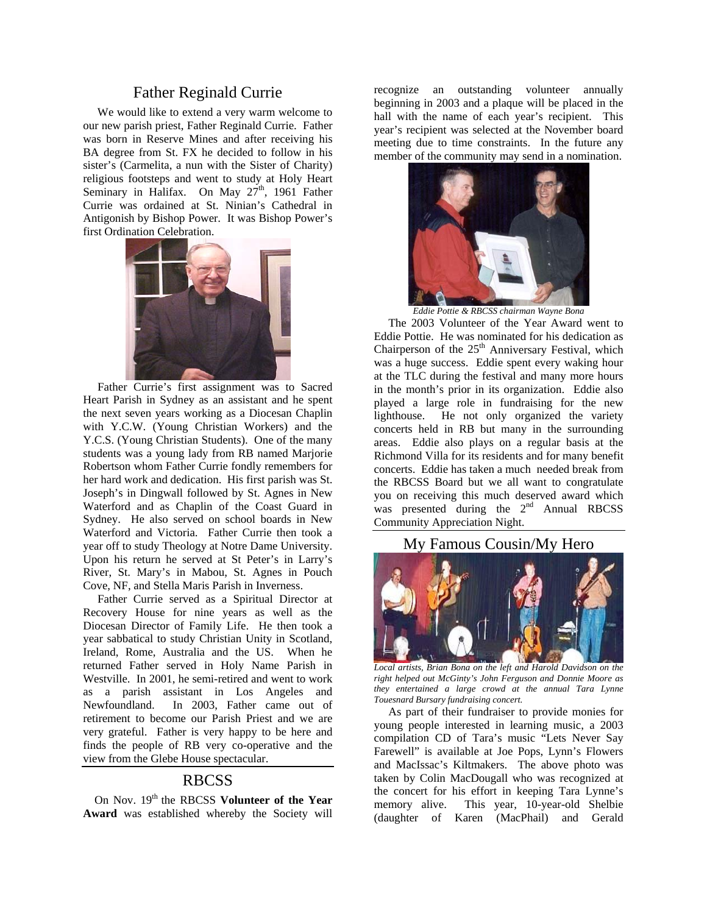## Father Reginald Currie

 We would like to extend a very warm welcome to our new parish priest, Father Reginald Currie. Father was born in Reserve Mines and after receiving his BA degree from St. FX he decided to follow in his sister's (Carmelita, a nun with the Sister of Charity) religious footsteps and went to study at Holy Heart Seminary in Halifax. On May 27<sup>th</sup>, 1961 Father Currie was ordained at St. Ninian's Cathedral in Antigonish by Bishop Power. It was Bishop Power's first Ordination Celebration.



 Father Currie's first assignment was to Sacred Heart Parish in Sydney as an assistant and he spent the next seven years working as a Diocesan Chaplin with Y.C.W. (Young Christian Workers) and the Y.C.S. (Young Christian Students). One of the many students was a young lady from RB named Marjorie Robertson whom Father Currie fondly remembers for her hard work and dedication. His first parish was St. Joseph's in Dingwall followed by St. Agnes in New Waterford and as Chaplin of the Coast Guard in Sydney. He also served on school boards in New Waterford and Victoria. Father Currie then took a year off to study Theology at Notre Dame University. Upon his return he served at St Peter's in Larry's River, St. Mary's in Mabou, St. Agnes in Pouch Cove, NF, and Stella Maris Parish in Inverness.

 Father Currie served as a Spiritual Director at Recovery House for nine years as well as the Diocesan Director of Family Life. He then took a year sabbatical to study Christian Unity in Scotland, Ireland, Rome, Australia and the US. When he returned Father served in Holy Name Parish in Westville. In 2001, he semi-retired and went to work as a parish assistant in Los Angeles and Newfoundland. In 2003, Father came out of retirement to become our Parish Priest and we are very grateful. Father is very happy to be here and finds the people of RB very co-operative and the view from the Glebe House spectacular.

#### RBCSS

On Nov. 19<sup>th</sup> the RBCSS **Volunteer of the Year Award** was established whereby the Society will

recognize an outstanding volunteer annually beginning in 2003 and a plaque will be placed in the hall with the name of each year's recipient. This year's recipient was selected at the November board meeting due to time constraints. In the future any member of the community may send in a nomination.



*Eddie Pottie & RBCSS chairman Wayne Bona* 

 The 2003 Volunteer of the Year Award went to Eddie Pottie. He was nominated for his dedication as Chairperson of the  $25<sup>th</sup>$  Anniversary Festival, which was a huge success. Eddie spent every waking hour at the TLC during the festival and many more hours in the month's prior in its organization. Eddie also played a large role in fundraising for the new lighthouse. He not only organized the variety concerts held in RB but many in the surrounding areas. Eddie also plays on a regular basis at the Richmond Villa for its residents and for many benefit concerts. Eddie has taken a much needed break from the RBCSS Board but we all want to congratulate you on receiving this much deserved award which was presented during the  $2<sup>nd</sup>$  Annual RBCSS Community Appreciation Night.

## My Famous Cousin/My Hero



*Local artists, Brian Bona on the left and Harold Davidson on the right helped out McGinty's John Ferguson and Donnie Moore as they entertained a large crowd at the annual Tara Lynne Touesnard Bursary fundraising concert.*

 As part of their fundraiser to provide monies for young people interested in learning music, a 2003 compilation CD of Tara's music "Lets Never Say Farewell" is available at Joe Pops, Lynn's Flowers and MacIssac's Kiltmakers. The above photo was taken by Colin MacDougall who was recognized at the concert for his effort in keeping Tara Lynne's memory alive. This year, 10-year-old Shelbie (daughter of Karen (MacPhail) and Gerald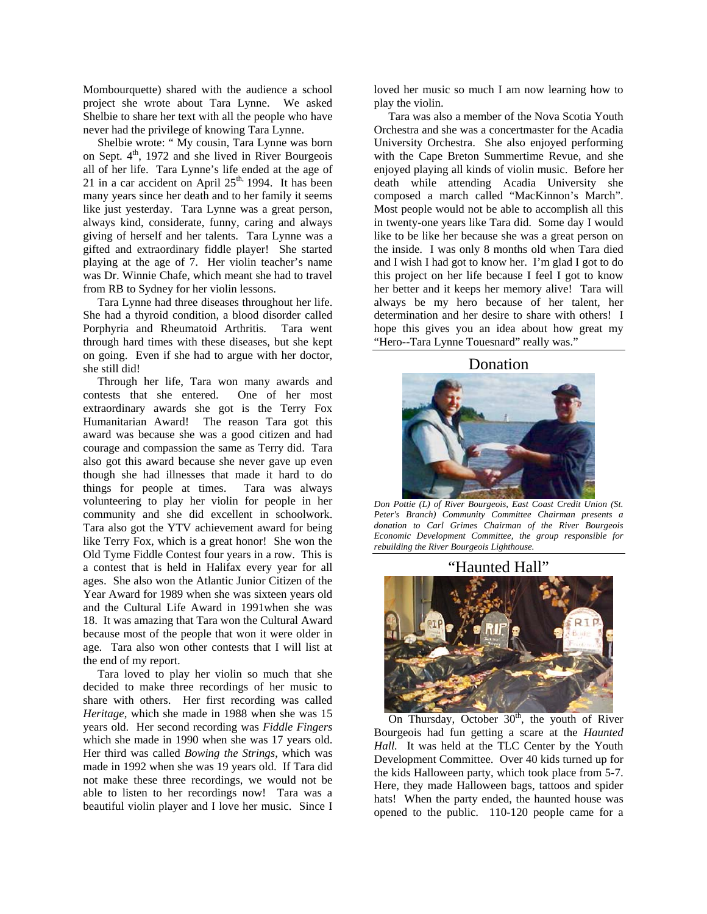Mombourquette) shared with the audience a school project she wrote about Tara Lynne. We asked Shelbie to share her text with all the people who have never had the privilege of knowing Tara Lynne.

 Shelbie wrote: " My cousin, Tara Lynne was born on Sept.  $4<sup>th</sup>$ , 1972 and she lived in River Bourgeois all of her life. Tara Lynne's life ended at the age of 21 in a car accident on April  $25<sup>th</sup>$ , 1994. It has been many years since her death and to her family it seems like just yesterday. Tara Lynne was a great person, always kind, considerate, funny, caring and always giving of herself and her talents. Tara Lynne was a gifted and extraordinary fiddle player! She started playing at the age of 7. Her violin teacher's name was Dr. Winnie Chafe, which meant she had to travel from RB to Sydney for her violin lessons.

 Tara Lynne had three diseases throughout her life. She had a thyroid condition, a blood disorder called Porphyria and Rheumatoid Arthritis. Tara went through hard times with these diseases, but she kept on going. Even if she had to argue with her doctor, she still did!

 Through her life, Tara won many awards and contests that she entered. One of her most extraordinary awards she got is the Terry Fox Humanitarian Award! The reason Tara got this award was because she was a good citizen and had courage and compassion the same as Terry did. Tara also got this award because she never gave up even though she had illnesses that made it hard to do things for people at times. Tara was always volunteering to play her violin for people in her community and she did excellent in schoolwork. Tara also got the YTV achievement award for being like Terry Fox, which is a great honor! She won the Old Tyme Fiddle Contest four years in a row. This is a contest that is held in Halifax every year for all ages. She also won the Atlantic Junior Citizen of the Year Award for 1989 when she was sixteen years old and the Cultural Life Award in 1991when she was 18. It was amazing that Tara won the Cultural Award because most of the people that won it were older in age. Tara also won other contests that I will list at the end of my report.

 Tara loved to play her violin so much that she decided to make three recordings of her music to share with others. Her first recording was called *Heritage*, which she made in 1988 when she was 15 years old. Her second recording was *Fiddle Fingers* which she made in 1990 when she was 17 years old. Her third was called *Bowing the Strings*, which was made in 1992 when she was 19 years old. If Tara did not make these three recordings, we would not be able to listen to her recordings now! Tara was a beautiful violin player and I love her music. Since I

loved her music so much I am now learning how to play the violin.

 Tara was also a member of the Nova Scotia Youth Orchestra and she was a concertmaster for the Acadia University Orchestra. She also enjoyed performing with the Cape Breton Summertime Revue, and she enjoyed playing all kinds of violin music. Before her death while attending Acadia University she composed a march called "MacKinnon's March". Most people would not be able to accomplish all this in twenty-one years like Tara did. Some day I would like to be like her because she was a great person on the inside. I was only 8 months old when Tara died and I wish I had got to know her. I'm glad I got to do this project on her life because I feel I got to know her better and it keeps her memory alive! Tara will always be my hero because of her talent, her determination and her desire to share with others! I hope this gives you an idea about how great my "Hero--Tara Lynne Touesnard" really was."

#### Donation



*Don Pottie (L) of River Bourgeois, East Coast Credit Union (St. Peter's Branch) Community Committee Chairman presents a donation to Carl Grimes Chairman of the River Bourgeois Economic Development Committee, the group responsible for rebuilding the River Bourgeois Lighthouse.* 

"Haunted Hall"



On Thursday, October  $30<sup>th</sup>$ , the youth of River Bourgeois had fun getting a scare at the *Haunted Hall.* It was held at the TLC Center by the Youth Development Committee. Over 40 kids turned up for the kids Halloween party, which took place from 5-7. Here, they made Halloween bags, tattoos and spider hats! When the party ended, the haunted house was opened to the public. 110-120 people came for a